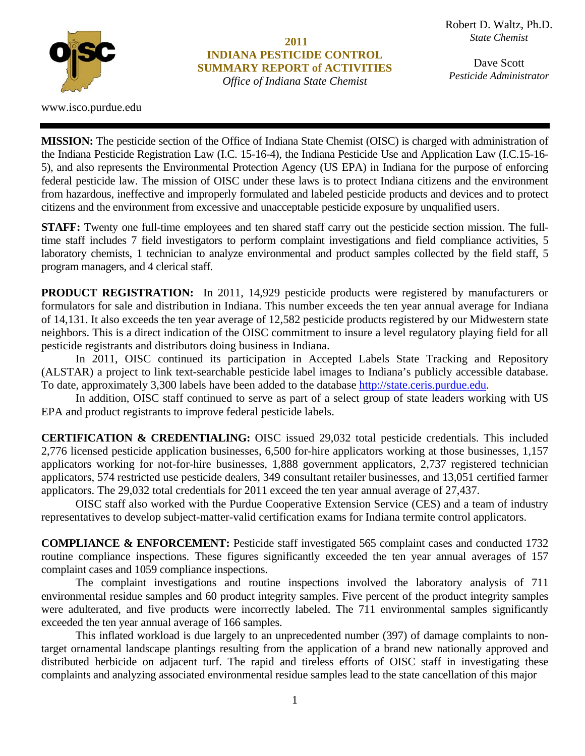

www.isco.purdue.edu

**2011 INDIANA PESTICIDE CONTROL SUMMARY REPORT of ACTIVITIES** 

**Larry W. Nees**  *Pesticide Administrator*Dave Scott

**MISSION:** The pesticide section of the Office of Indiana State Chemist (OISC) is charged with administration of the Indiana Pesticide Registration Law (I.C. 15-16-4), the Indiana Pesticide Use and Application Law (I.C.15-16- 5), and also represents the Environmental Protection Agency (US EPA) in Indiana for the purpose of enforcing federal pesticide law. The mission of OISC under these laws is to protect Indiana citizens and the environment from hazardous, ineffective and improperly formulated and labeled pesticide products and devices and to protect citizens and the environment from excessive and unacceptable pesticide exposure by unqualified users.

**STAFF:** Twenty one full-time employees and ten shared staff carry out the pesticide section mission. The fulltime staff includes 7 field investigators to perform complaint investigations and field compliance activities, 5 laboratory chemists, 1 technician to analyze environmental and product samples collected by the field staff, 5 program managers, and 4 clerical staff*.* 

**PRODUCT REGISTRATION:** In 2011, 14,929 pesticide products were registered by manufacturers or formulators for sale and distribution in Indiana. This number exceeds the ten year annual average for Indiana of 14,131. It also exceeds the ten year average of 12,582 pesticide products registered by our Midwestern state neighbors. This is a direct indication of the OISC commitment to insure a level regulatory playing field for all pesticide registrants and distributors doing business in Indiana.

 In 2011, OISC continued its participation in Accepted Labels State Tracking and Repository (ALSTAR) a project to link text-searchable pesticide label images to Indiana's publicly accessible database. To date, approximately 3,300 labels have been added to the database http://state.ceris.purdue.edu.

 In addition, OISC staff continued to serve as part of a select group of state leaders working with US EPA and product registrants to improve federal pesticide labels.

**CERTIFICATION & CREDENTIALING:** OISC issued 29,032 total pesticide credentials. This included 2,776 licensed pesticide application businesses, 6,500 for-hire applicators working at those businesses, 1,157 applicators working for not-for-hire businesses, 1,888 government applicators, 2,737 registered technician applicators, 574 restricted use pesticide dealers, 349 consultant retailer businesses, and 13,051 certified farmer applicators. The 29,032 total credentials for 2011 exceed the ten year annual average of 27,437.

 OISC staff also worked with the Purdue Cooperative Extension Service (CES) and a team of industry representatives to develop subject-matter-valid certification exams for Indiana termite control applicators.

**COMPLIANCE & ENFORCEMENT:** Pesticide staff investigated 565 complaint cases and conducted 1732 routine compliance inspections. These figures significantly exceeded the ten year annual averages of 157 complaint cases and 1059 compliance inspections.

 The complaint investigations and routine inspections involved the laboratory analysis of 711 environmental residue samples and 60 product integrity samples. Five percent of the product integrity samples were adulterated, and five products were incorrectly labeled. The 711 environmental samples significantly exceeded the ten year annual average of 166 samples.

 This inflated workload is due largely to an unprecedented number (397) of damage complaints to nontarget ornamental landscape plantings resulting from the application of a brand new nationally approved and distributed herbicide on adjacent turf. The rapid and tireless efforts of OISC staff in investigating these complaints and analyzing associated environmental residue samples lead to the state cancellation of this major